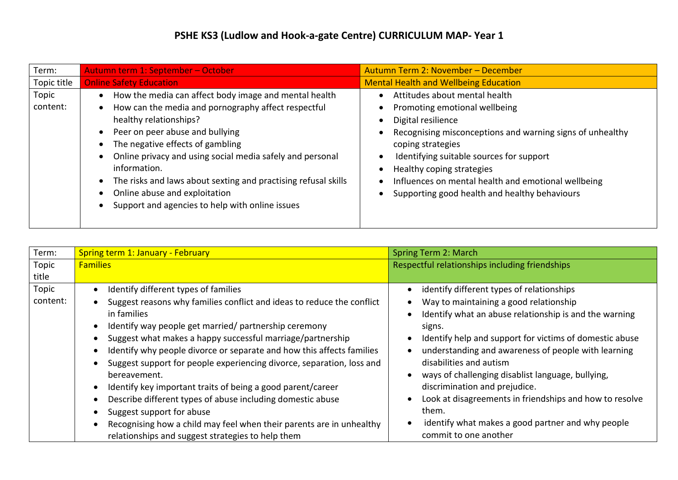| Term:             | Autumn term 1: September - October                                                                                                                                                                                                                                                                                                                                                                                                               | Autumn Term 2: November - December                                                                                                                                                                                                                                                                                                                      |
|-------------------|--------------------------------------------------------------------------------------------------------------------------------------------------------------------------------------------------------------------------------------------------------------------------------------------------------------------------------------------------------------------------------------------------------------------------------------------------|---------------------------------------------------------------------------------------------------------------------------------------------------------------------------------------------------------------------------------------------------------------------------------------------------------------------------------------------------------|
| Topic title       | <b>Online Safety Education</b>                                                                                                                                                                                                                                                                                                                                                                                                                   | <b>Mental Health and Wellbeing Education</b>                                                                                                                                                                                                                                                                                                            |
| Topic<br>content: | How the media can affect body image and mental health<br>How can the media and pornography affect respectful<br>healthy relationships?<br>Peer on peer abuse and bullying<br>The negative effects of gambling<br>Online privacy and using social media safely and personal<br>information.<br>The risks and laws about sexting and practising refusal skills<br>Online abuse and exploitation<br>Support and agencies to help with online issues | Attitudes about mental health<br>Promoting emotional wellbeing<br>Digital resilience<br>Recognising misconceptions and warning signs of unhealthy<br>coping strategies<br>Identifying suitable sources for support<br>Healthy coping strategies<br>Influences on mental health and emotional wellbeing<br>Supporting good health and healthy behaviours |

| Term:             | <b>Spring term 1: January - February</b>                                                                                                                                                                                                                                                                                                                                                                               | Spring Term 2: March                                                                                                                                                                                                                                                                                                                                                                       |
|-------------------|------------------------------------------------------------------------------------------------------------------------------------------------------------------------------------------------------------------------------------------------------------------------------------------------------------------------------------------------------------------------------------------------------------------------|--------------------------------------------------------------------------------------------------------------------------------------------------------------------------------------------------------------------------------------------------------------------------------------------------------------------------------------------------------------------------------------------|
| Topic             | <b>Families</b>                                                                                                                                                                                                                                                                                                                                                                                                        | Respectful relationships including friendships                                                                                                                                                                                                                                                                                                                                             |
| title             |                                                                                                                                                                                                                                                                                                                                                                                                                        |                                                                                                                                                                                                                                                                                                                                                                                            |
| Topic<br>content: | Identify different types of families<br>Suggest reasons why families conflict and ideas to reduce the conflict<br>in families<br>Identify way people get married/ partnership ceremony<br>Suggest what makes a happy successful marriage/partnership<br>Identify why people divorce or separate and how this affects families<br>Suggest support for people experiencing divorce, separation, loss and<br>bereavement. | identify different types of relationships<br>Way to maintaining a good relationship<br>Identify what an abuse relationship is and the warning<br>signs.<br>Identify help and support for victims of domestic abuse<br>understanding and awareness of people with learning<br>disabilities and autism<br>ways of challenging disablist language, bullying,<br>discrimination and prejudice. |
|                   | Identify key important traits of being a good parent/career<br>Describe different types of abuse including domestic abuse<br>Suggest support for abuse<br>Recognising how a child may feel when their parents are in unhealthy<br>relationships and suggest strategies to help them                                                                                                                                    | Look at disagreements in friendships and how to resolve<br>them.<br>identify what makes a good partner and why people<br>commit to one another                                                                                                                                                                                                                                             |